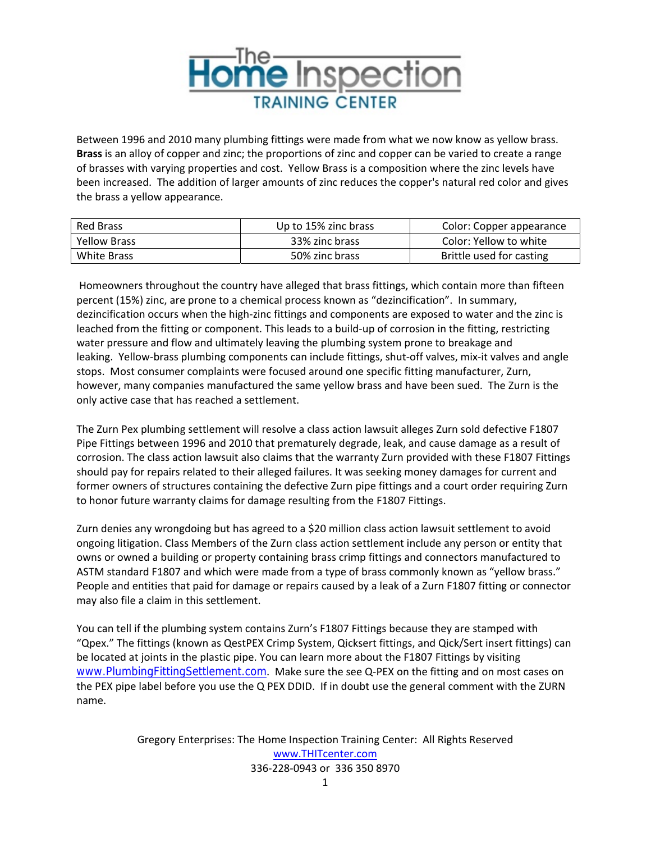

Between 1996 and 2010 many plumbing fittings were made from what we now know as yellow brass. **Brass** is an alloy of copper and zinc; the proportions of zinc and copper can be varied to create a range of brasses with varying properties and cost. Yellow Brass is a composition where the zinc levels have been increased. The addition of larger amounts of zinc reduces the copper's natural red color and gives the brass a yellow appearance.

| Red Brass           | Up to 15% zinc brass | Color: Copper appearance |
|---------------------|----------------------|--------------------------|
| <b>Yellow Brass</b> | 33% zinc brass       | Color: Yellow to white   |
| White Brass         | 50% zinc brass       | Brittle used for casting |

Homeowners throughout the country have alleged that brass fittings, which contain more than fifteen percent (15%) zinc, are prone to a chemical process known as "dezincification". In summary, dezincification occurs when the high‐zinc fittings and components are exposed to water and the zinc is leached from the fitting or component. This leads to a build‐up of corrosion in the fitting, restricting water pressure and flow and ultimately leaving the plumbing system prone to breakage and leaking. Yellow‐brass plumbing components can include fittings, shut‐off valves, mix‐it valves and angle stops. Most consumer complaints were focused around one specific fitting manufacturer, Zurn, however, many companies manufactured the same yellow brass and have been sued. The Zurn is the only active case that has reached a settlement.

The Zurn Pex plumbing settlement will resolve a class action lawsuit alleges Zurn sold defective F1807 Pipe Fittings between 1996 and 2010 that prematurely degrade, leak, and cause damage as a result of corrosion. The class action lawsuit also claims that the warranty Zurn provided with these F1807 Fittings should pay for repairs related to their alleged failures. It was seeking money damages for current and former owners of structures containing the defective Zurn pipe fittings and a court order requiring Zurn to honor future warranty claims for damage resulting from the F1807 Fittings.

Zurn denies any wrongdoing but has agreed to a \$20 million class action lawsuit settlement to avoid ongoing litigation. Class Members of the Zurn class action settlement include any person or entity that owns or owned a building or property containing brass crimp fittings and connectors manufactured to ASTM standard F1807 and which were made from a type of brass commonly known as "yellow brass." People and entities that paid for damage or repairs caused by a leak of a Zurn F1807 fitting or connector may also file a claim in this settlement.

You can tell if the plumbing system contains Zurn's F1807 Fittings because they are stamped with "Qpex." The fittings (known as QestPEX Crimp System, Qicksert fittings, and Qick/Sert insert fittings) can be located at joints in the plastic pipe. You can learn more about the F1807 Fittings by visiting www.PlumbingFittingSettlement.com. Make sure the see Q-PEX on the fitting and on most cases on the PEX pipe label before you use the Q PEX DDID. If in doubt use the general comment with the ZURN name.

> Gregory Enterprises: The Home Inspection Training Center: All Rights Reserved www.THITcenter.com 336‐228‐0943 or 336 350 8970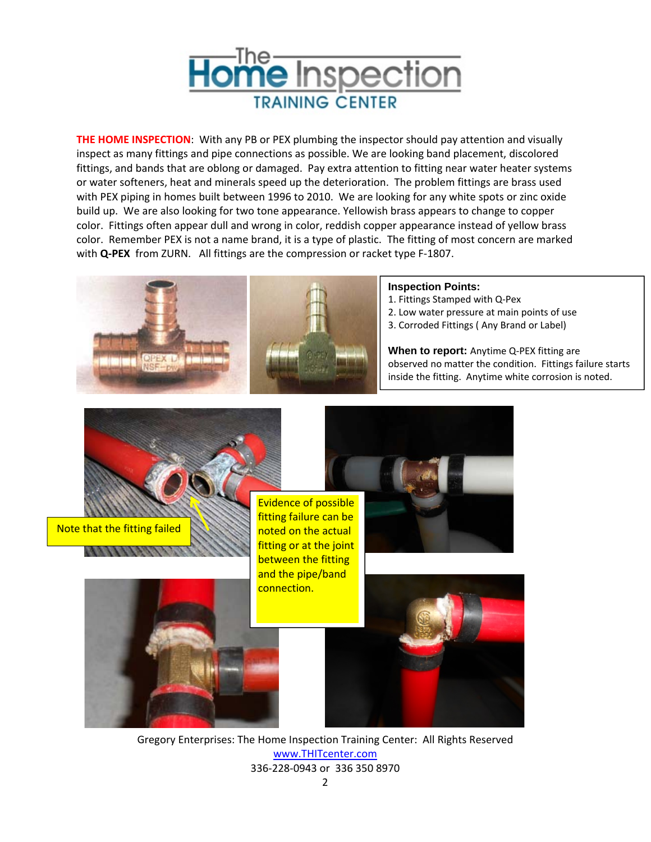

**THE HOME INSPECTION**: With any PB or PEX plumbing the inspector should pay attention and visually inspect as many fittings and pipe connections as possible. We are looking band placement, discolored fittings, and bands that are oblong or damaged. Pay extra attention to fitting near water heater systems or water softeners, heat and minerals speed up the deterioration. The problem fittings are brass used with PEX piping in homes built between 1996 to 2010. We are looking for any white spots or zinc oxide build up. We are also looking for two tone appearance. Yellowish brass appears to change to copper color. Fittings often appear dull and wrong in color, reddish copper appearance instead of yellow brass color. Remember PEX is not a name brand, it is a type of plastic. The fitting of most concern are marked with **Q-PEX** from ZURN. All fittings are the compression or racket type F-1807.



Gregory Enterprises: The Home Inspection Training Center: All Rights Reserved www.THITcenter.com 336‐228‐0943 or 336 350 8970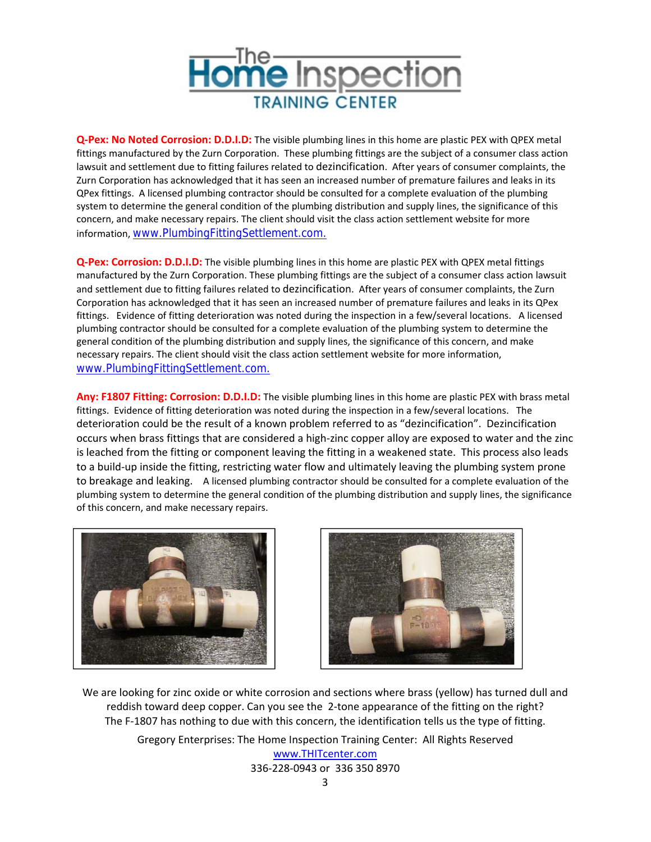

**Q‐Pex: No Noted Corrosion: D.D.I.D:** The visible plumbing lines in this home are plastic PEX with QPEX metal fittings manufactured by the Zurn Corporation. These plumbing fittings are the subject of a consumer class action lawsuit and settlement due to fitting failures related to dezincification. After years of consumer complaints, the Zurn Corporation has acknowledged that it has seen an increased number of premature failures and leaks in its QPex fittings. A licensed plumbing contractor should be consulted for a complete evaluation of the plumbing system to determine the general condition of the plumbing distribution and supply lines, the significance of this concern, and make necessary repairs. The client should visit the class action settlement website for more information, www.PlumbingFittingSettlement.com.

**Q‐Pex: Corrosion: D.D.I.D:** The visible plumbing lines in this home are plastic PEX with QPEX metal fittings manufactured by the Zurn Corporation. These plumbing fittings are the subject of a consumer class action lawsuit and settlement due to fitting failures related to dezincification. After years of consumer complaints, the Zurn Corporation has acknowledged that it has seen an increased number of premature failures and leaks in its QPex fittings. Evidence of fitting deterioration was noted during the inspection in a few/several locations. A licensed plumbing contractor should be consulted for a complete evaluation of the plumbing system to determine the general condition of the plumbing distribution and supply lines, the significance of this concern, and make necessary repairs. The client should visit the class action settlement website for more information, www.PlumbingFittingSettlement.com.

**Any: F1807 Fitting: Corrosion: D.D.I.D:** The visible plumbing lines in this home are plastic PEX with brass metal fittings. Evidence of fitting deterioration was noted during the inspection in a few/several locations. The deterioration could be the result of a known problem referred to as "dezincification". Dezincification occurs when brass fittings that are considered a high‐zinc copper alloy are exposed to water and the zinc is leached from the fitting or component leaving the fitting in a weakened state. This process also leads to a build-up inside the fitting, restricting water flow and ultimately leaving the plumbing system prone to breakage and leaking. A licensed plumbing contractor should be consulted for a complete evaluation of the plumbing system to determine the general condition of the plumbing distribution and supply lines, the significance of this concern, and make necessary repairs.





We are looking for zinc oxide or white corrosion and sections where brass (yellow) has turned dull and reddish toward deep copper. Can you see the 2-tone appearance of the fitting on the right? The F-1807 has nothing to due with this concern, the identification tells us the type of fitting.

> Gregory Enterprises: The Home Inspection Training Center: All Rights Reserved www.THITcenter.com

336‐228‐0943 or 336 350 8970